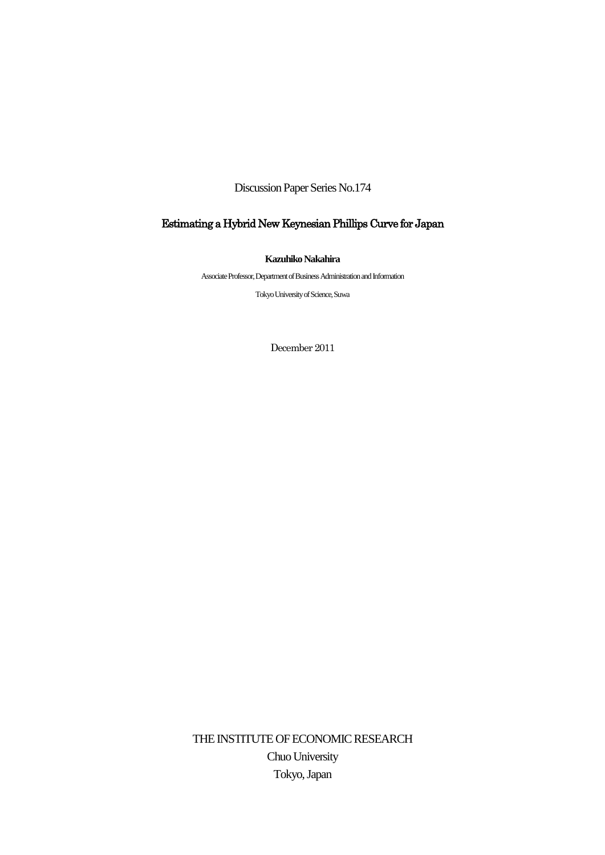Discussion Paper Series No.174

# Estimating a Hybrid New Keynesian Phillips Curve for Japan

**Kazuhiko Nakahira**

Associate Professor, Department of Business Administration and Information

Tokyo University of Science, Suwa

December 2011

THE INSTITUTE OF ECONOMIC RESEARCH Chuo University Tokyo, Japan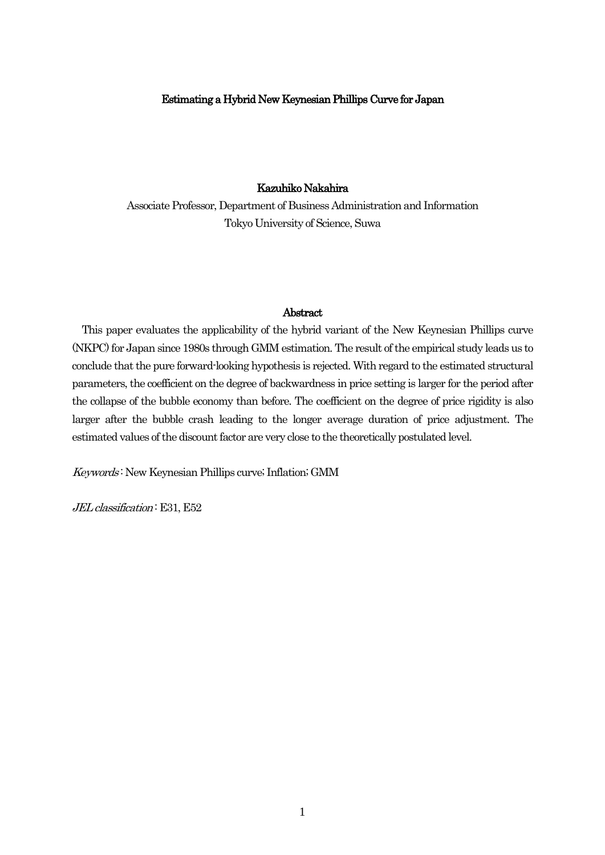## Estimating a Hybrid New Keynesian Phillips Curve for Japan

## Kazuhiko Nakahira

Associate Professor, Department of Business Administration and Information Tokyo University of Science, Suwa

## Abstract

 This paper evaluates the applicability of the hybrid variant of the New Keynesian Phillips curve (NKPC) for Japan since 1980s through GMM estimation. The result of the empirical study leads us to conclude that the pure forward-looking hypothesis is rejected. With regard to the estimated structural parameters, the coefficient on the degree of backwardness in price setting is larger for the period after the collapse of the bubble economy than before. The coefficient on the degree of price rigidity is also larger after the bubble crash leading to the longer average duration of price adjustment. The estimated values of the discount factor are very close to the theoretically postulated level.

Keywords : New Keynesian Phillips curve; Inflation; GMM

JEL classification: E31, E52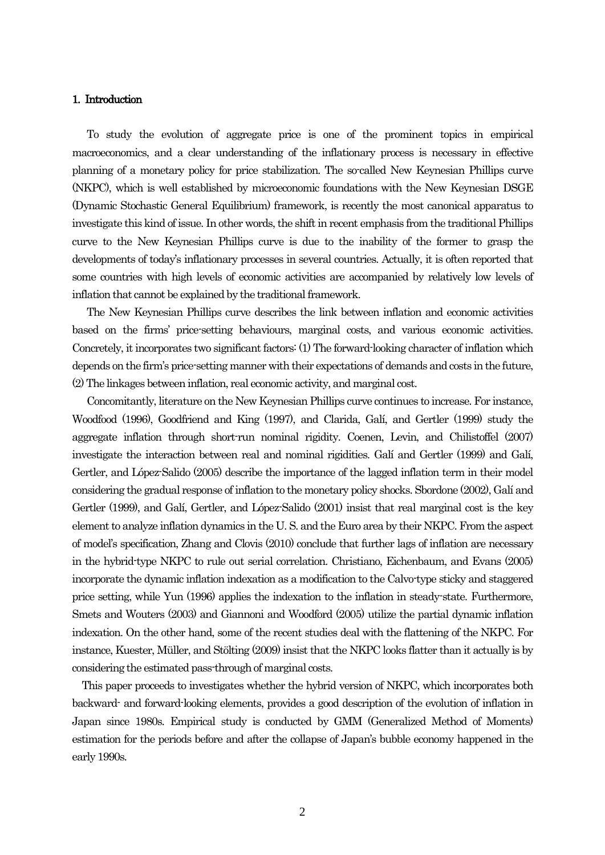## 1. Introduction

 To study the evolution of aggregate price is one of the prominent topics in empirical macroeconomics, and a clear understanding of the inflationary process is necessary in effective planning of a monetary policy for price stabilization. The so-called New Keynesian Phillips curve (NKPC), which is well established by microeconomic foundations with the New Keynesian DSGE (Dynamic Stochastic General Equilibrium) framework, is recently the most canonical apparatus to investigate this kind of issue. In other words, the shift in recent emphasis from the traditional Phillips curve to the New Keynesian Phillips curve is due to the inability of the former to grasp the developments of today's inflationary processes in several countries. Actually, it is often reported that some countries with high levels of economic activities are accompanied by relatively low levels of inflation that cannot be explained by the traditional framework.

 The New Keynesian Phillips curve describes the link between inflation and economic activities based on the firms' price-setting behaviours, marginal costs, and various economic activities. Concretely, it incorporates two significant factors: (1) The forward-looking character of inflation which depends on the firm's price-setting manner with their expectations of demands and costs in the future, (2) The linkages between inflation, real economic activity, and marginal cost.

 Concomitantly, literature on the New Keynesian Phillips curve continues to increase. For instance, Woodfood (1996), Goodfriend and King (1997), and Clarida, Galí, and Gertler (1999) study the aggregate inflation through short-run nominal rigidity. Coenen, Levin, and Chilistoffel (2007) investigate the interaction between real and nominal rigidities. Galí and Gertler (1999) and Galí, Gertler, and López-Salido (2005) describe the importance of the lagged inflation term in their model considering the gradual response of inflation to the monetary policy shocks. Sbordone (2002), Galí and Gertler (1999), and Galí, Gertler, and López-Salido (2001) insist that real marginal cost is the key element to analyze inflation dynamics in the U. S. and the Euro area by their NKPC. From the aspect of model's specification, Zhang and Clovis (2010) conclude that further lags of inflation are necessary in the hybrid-type NKPC to rule out serial correlation. Christiano, Eichenbaum, and Evans (2005) incorporate the dynamic inflation indexation as a modification to the Calvo-type sticky and staggered price setting, while Yun (1996) applies the indexation to the inflation in steady-state. Furthermore, Smets and Wouters (2003) and Giannoni and Woodford (2005) utilize the partial dynamic inflation indexation. On the other hand, some of the recent studies deal with the flattening of the NKPC. For instance, Kuester, Müller, and Stölting (2009) insist that the NKPC looks flatter than it actually is by considering the estimated pass-through of marginal costs.

 This paper proceeds to investigates whether the hybrid version of NKPC, which incorporates both backward- and forward-looking elements, provides a good description of the evolution of inflation in Japan since 1980s. Empirical study is conducted by GMM (Generalized Method of Moments) estimation for the periods before and after the collapse of Japan's bubble economy happened in the early 1990s.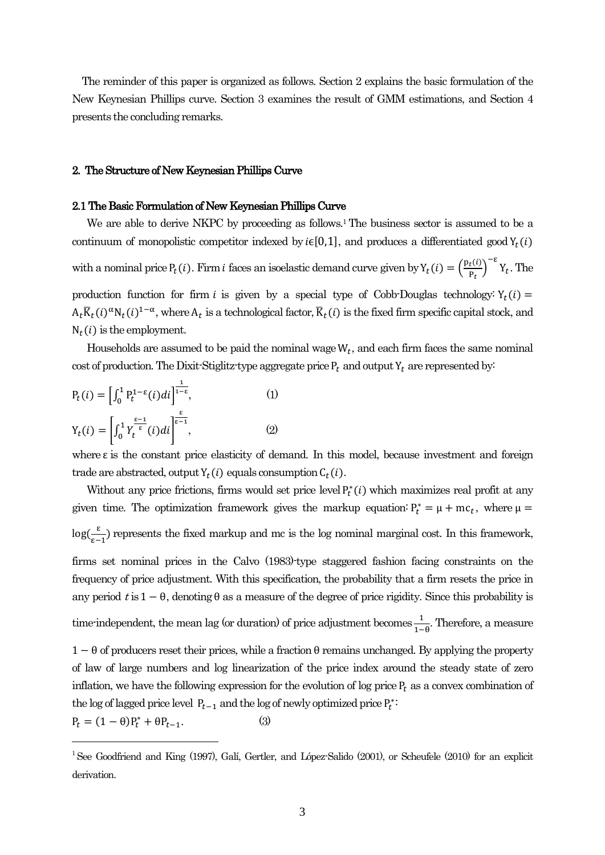The reminder of this paper is organized as follows. Section 2 explains the basic formulation of the New Keynesian Phillips curve. Section 3 examines the result of GMM estimations, and Section 4 presents the concluding remarks.

#### 2. The Structure of New Keynesian Phillips Curve

### 2.1 The Basic Formulation of New Keynesian Phillips Curve

We are able to derive NKPC by proceeding as follows.<sup>1</sup> The business sector is assumed to be a continuum of monopolistic competitor indexed by  $i\in[0,1]$ , and produces a differentiated good  $Y_t(i)$ with a nominal price  $P_t(i)$ . Firm *i* faces an isoelastic demand curve given by  $Y_t(i) = \left(\frac{P_t(i)}{P}\right)^T$  $\left(\frac{t^{(i)}}{P_t}\right)^{-\epsilon} Y_t$ . The production function for firm i is given by a special type of Cobb-Douglas technology:  $Y_t(i)$  =  $A_t \overline{K}_t(i)^{\alpha} N_t(i)^{1-\alpha}$ , where  $A_t$  is a technological factor,  $\overline{K}_t(i)$  is the fixed firm specific capital stock, and  $N_t(i)$  is the employment.

Households are assumed to be paid the nominal wage  $W_t$ , and each firm faces the same nominal cost of production. The Dixit-Stiglitz-type aggregate price  $P_t$  and output  $Y_t$  are represented by:

$$
P_{t}(i) = \left[\int_{0}^{1} P_{t}^{1-\epsilon}(i)di\right]^{\frac{1}{1-\epsilon}}, \qquad (1)
$$

$$
Y_{t}(i) = \left[\int_{0}^{1} Y_{t}^{\frac{\epsilon-1}{\epsilon}}(i)di\right]^{\frac{\epsilon}{\epsilon-1}}, \qquad (2)
$$

where  $\varepsilon$  is the constant price elasticity of demand. In this model, because investment and foreign trade are abstracted, output  $Y_t(i)$  equals consumption  $C_t(i)$ .

Without any price frictions, firms would set price level  $P_t^*(i)$  which maximizes real profit at any given time. The optimization framework gives the markup equation:  $P_t^* = \mu + mc_t$ , where  $\mu$  $\log(\frac{\varepsilon}{\varepsilon})$  $\frac{1}{\epsilon-1}$ ) represents the fixed markup and mc is the log nominal marginal cost. In this framework, firms set nominal prices in the Calvo (1983)-type staggered fashion facing constraints on the frequency of price adjustment. With this specification, the probability that a firm resets the price in any period t is  $1 - \theta$ , denoting  $\theta$  as a measure of the degree of price rigidity. Since this probability is time-independent, the mean lag (or duration) of price adjustment becomes  $\frac{1}{4}$  $\frac{1}{1-\theta}$ . Therefore, a measure  $1 - \theta$  of producers reset their prices, while a fraction  $\theta$  remains unchanged. By applying the property of law of large numbers and log linearization of the price index around the steady state of zero inflation, we have the following expression for the evolution of log price  $P_t$  as a convex combination of the log of lagged price level  $P_{t-1}$  and the log of newly optimized price  $P_t^*$ :

 $P_t = (1 - \theta)P_t^* + \theta P_{t-1}.$  (3)

<sup>&</sup>lt;sup>1</sup> See Goodfriend and King (1997), Galí, Gertler, and López-Salido (2001), or Scheufele (2010) for an explicit derivation.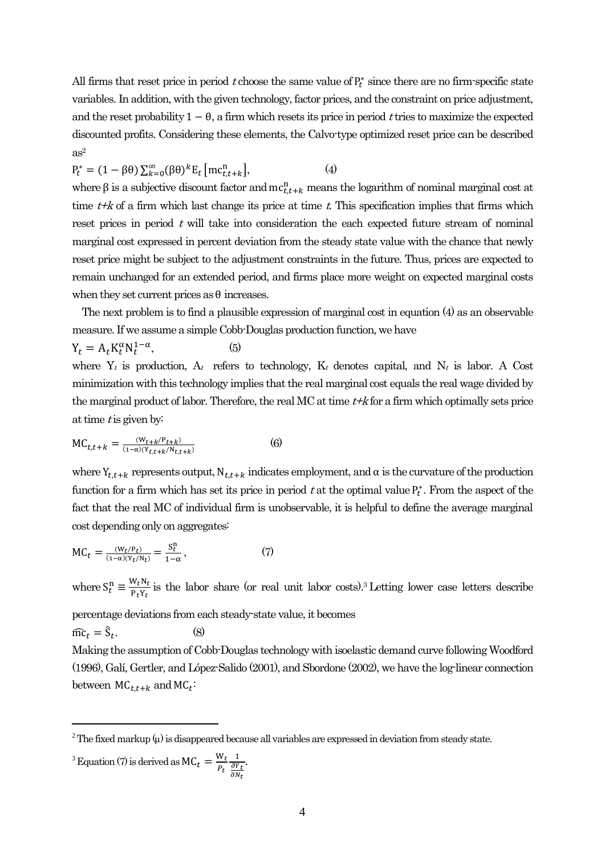All firms that reset price in period t choose the same value of  $P_t^*$  since there are no firm-specific state variables. In addition, with the given technology, factor prices, and the constraint on price adjustment, and the reset probability  $1 - \theta$ , a firm which resets its price in period t tries to maximize the expected discounted profits. Considering these elements, the Calvo-type optimized reset price can be described  $as<sup>2</sup>$ 

$$
P_t^* = (1 - \beta \theta) \sum_{k=0}^{\infty} (\beta \theta)^k E_t \left[ mc_{t,t+k}^n \right], \tag{4}
$$

where  $\beta$  is a subjective discount factor and  $mc_{t,t+k}^n$  means the logarithm of nominal marginal cost at time  $t+k$  of a firm which last change its price at time t. This specification implies that firms which reset prices in period  $t$  will take into consideration the each expected future stream of nominal marginal cost expressed in percent deviation from the steady state value with the chance that newly reset price might be subject to the adjustment constraints in the future. Thus, prices are expected to remain unchanged for an extended period, and firms place more weight on expected marginal costs when they set current prices as  $\theta$  increases.

 The next problem is to find a plausible expression of marginal cost in equation (4) as an observable measure. If we assume a simple Cobb-Douglas production function, we have

$$
Y_t = A_t K_t^{\alpha} N_t^{1-\alpha},\tag{5}
$$

where  $Y_t$  is production,  $A_t$  refers to technology,  $K_t$  denotes capital, and  $N_t$  is labor. A Cost minimization with this technology implies that the real marginal cost equals the real wage divided by the marginal product of labor. Therefore, the real MC at time  $t+k$  for a firm which optimally sets price at time  $t$  is given by:

$$
MC_{t,t+k} = \frac{(W_{t+k}/P_{t+k})}{(1-\alpha)(Y_{t,t+k}/N_{t,t+k})}
$$
(6)

where  $Y_{t,t+k}$  represents output,  $N_{t,t+k}$  indicates employment, and  $\alpha$  is the curvature of the production function for a firm which has set its price in period  $t$  at the optimal value  $P_t^*$ . From the aspect of the fact that the real MC of individual firm is unobservable, it is helpful to define the average marginal cost depending only on aggregates:

$$
MC_t = \frac{(W_t/P_t)}{(1-\alpha)(Y_t/N_t)} = \frac{S_t^n}{1-\alpha},
$$
\n(7)

where  $S_t^n \equiv \frac{W}{R}$  $\frac{W_t N_t}{P_t Y_t}$  is the labor share (or real unit labor costs).<sup>3</sup> Letting lower case letters describe

percentage deviations from each steady-state value, it becomes

$$
\widehat{\text{mc}}_t = \widehat{\text{S}}_t. \tag{8}
$$

 $\overline{a}$ 

Making the assumption of Cobb-Douglas technology with isoelastic demand curve followingWoodford (1996), Galí, Gertler, and López-Salido (2001), and Sbordone (2002), we have the log-linear connection between  $MC_{t.t+k}$  and  $MC_t$ :

<sup>3</sup> Equation (7) is derived as  $MC_t = \frac{W}{R}$  $\boldsymbol{P}$  $\mathbf{1}$ д д .

<sup>&</sup>lt;sup>2</sup> The fixed markup ( $\mu$ ) is disappeared because all variables are expressed in deviation from steady state.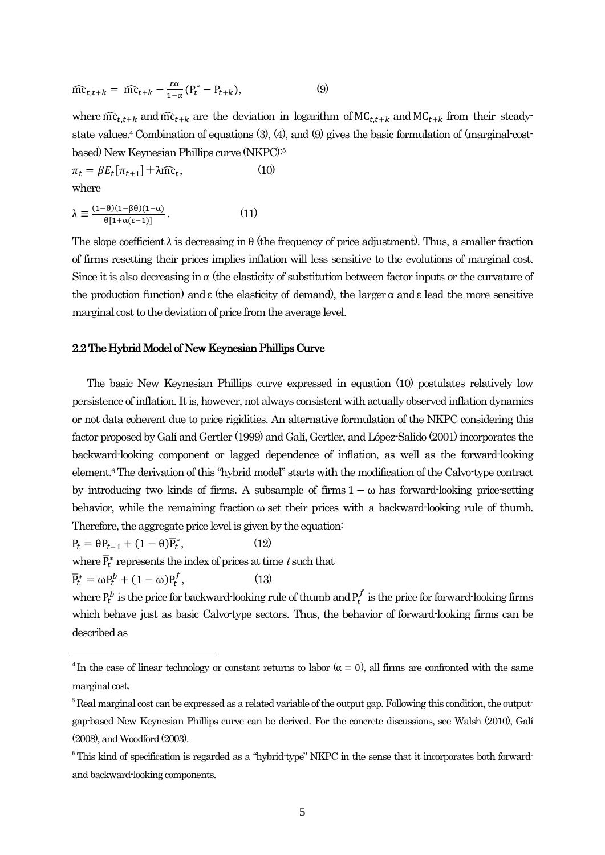$$
\widehat{mc}_{t,t+k} = \widehat{mc}_{t+k} - \frac{\varepsilon \alpha}{1-\alpha} (P_t^* - P_{t+k}), \tag{9}
$$

where  $\widehat{mc}_{t,t+k}$  and  $\widehat{mc}_{t+k}$  are the deviation in logarithm of  $MC_{t+k}$  and  $MC_{t+k}$  from their steadystate values. <sup>4</sup> Combination of equations (3), (4), and (9) gives the basic formulation of (marginal-costbased) New Keynesian Phillips curve (NKPC):<sup>5</sup>

$$
\pi_t = \beta E_t[\pi_{t+1}] + \lambda \widehat{mc}_t, \tag{10}
$$

where

 $\overline{a}$ 

$$
\lambda \equiv \frac{(1-\theta)(1-\beta\theta)(1-\alpha)}{\theta[1+\alpha(\epsilon-1)]}.
$$
 (11)

The slope coefficient  $\lambda$  is decreasing in  $\theta$  (the frequency of price adjustment). Thus, a smaller fraction of firms resetting their prices implies inflation will less sensitive to the evolutions of marginal cost. Since it is also decreasing in  $\alpha$  (the elasticity of substitution between factor inputs or the curvature of the production function) and  $\varepsilon$  (the elasticity of demand), the larger  $\alpha$  and  $\varepsilon$  lead the more sensitive marginal cost to the deviation of price from the average level.

### 2.2 The Hybrid Model of New Keynesian Phillips Curve

 The basic New Keynesian Phillips curve expressed in equation (10) postulates relatively low persistence of inflation. It is, however, not always consistent with actually observed inflation dynamics or not data coherent due to price rigidities. An alternative formulation of the NKPC considering this factor proposed by Galí and Gertler (1999) and Galí, Gertler, and López-Salido (2001) incorporates the backward-looking component or lagged dependence of inflation, as well as the forward-looking element.6The derivation of this "hybrid model" starts with the modification of the Calvo-type contract by introducing two kinds of firms. A subsample of firms  $1 - \omega$  has forward-looking price-setting behavior, while the remaining fraction  $\omega$  set their prices with a backward-looking rule of thumb. Therefore, the aggregate price level is given by the equation:

 $P_t = \theta P_{t-1} + (1-\theta)\overline{P}_t^*$  $(12)$ 

where  $\overline{P}_t^*$  represents the index of prices at time t such that

 $\overline{P}_t^* = \omega P_t^b + (1 - \omega) P_t^f$  $(13)$ 

where  $P_t^b$  is the price for backward-looking rule of thumb and  $P_t^f$  is the price for forward-looking firms which behave just as basic Calvo-type sectors. Thus, the behavior of forward-looking firms can be described as

<sup>&</sup>lt;sup>4</sup> In the case of linear technology or constant returns to labor ( $\alpha = 0$ ), all firms are confronted with the same marginal cost.

 $<sup>5</sup>$  Real marginal cost can be expressed as a related variable of the output gap. Following this condition, the output-</sup> gap-based New Keynesian Phillips curve can be derived. For the concrete discussions, see Walsh (2010), Galí (2008), and Woodford (2003).

<sup>&</sup>lt;sup>6</sup>This kind of specification is regarded as a "hybrid-type" NKPC in the sense that it incorporates both forwardand backward-looking components.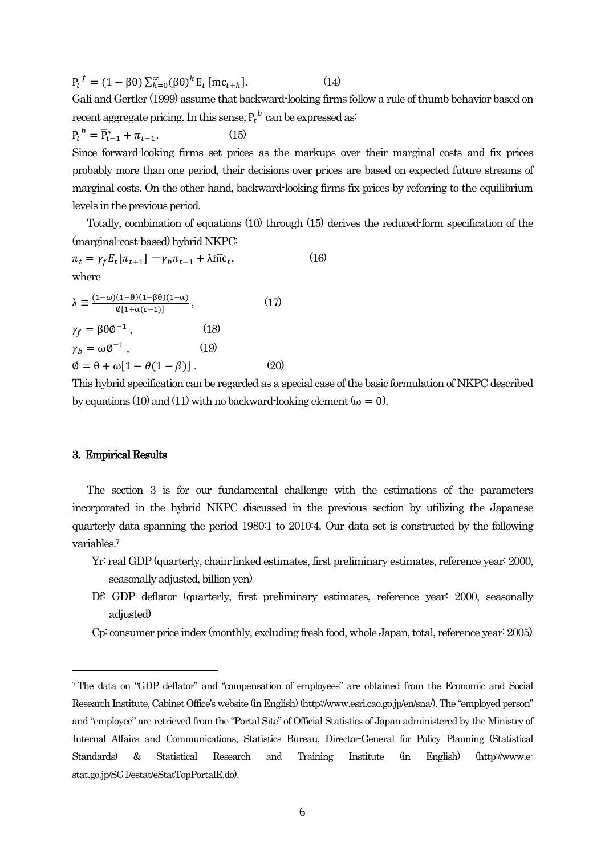$P_t^f = (1 - \beta \theta) \sum_{k=0}^{\infty} (\beta \theta)^k E_t [mc_{t+k}]$  $(14)$ Galí and Gertler (1999) assume that backward-looking firms follow a rule of thumb behavior based on recent aggregate pricing. In this sense,  $P_t^{\ b}$  can be expressed as:  $P_t^{\ b} = \overline{P}_{t-1}^* + \pi_{t-1}.$  (15)

Since forward-looking firms set prices as the markups over their marginal costs and fix prices probably more than one period, their decisions over prices are based on expected future streams of marginal costs. On the other hand, backward-looking firms fix prices by referring to the equilibrium levels in the previous period.

 Totally, combination of equations (10) through (15) derives the reduced-form specification of the (marginal-cost-based) hybrid NKPC:

$$
\pi_t = \gamma_f E_t[\pi_{t+1}] + \gamma_b \pi_{t-1} + \lambda \widehat{mc}_t, \qquad (16)
$$
  
where

$$
\lambda = \frac{(1-\omega)(1-\theta)(1-\beta\theta)(1-\alpha)}{\phi[1+\alpha(\epsilon-1)]},
$$
\n
$$
\gamma_f = \beta\theta\phi^{-1},
$$
\n
$$
\gamma_b = \omega\phi^{-1},
$$
\n
$$
\phi = \theta + \omega[1-\theta(1-\beta)].
$$
\n(19)\n(20)

This hybrid specification can be regarded as a special case of the basic formulation of NKPC described by equations (10) and (11) with no backward-looking element ( $\omega = 0$ ).

#### 3. Empirical Results

 $\overline{a}$ 

 The section 3 is for our fundamental challenge with the estimations of the parameters incorporated in the hybrid NKPC discussed in the previous section by utilizing the Japanese quarterly data spanning the period 1980:1 to 2010:4. Our data set is constructed by the following variables.<sup>7</sup>

- Yr: real GDP (quarterly, chain-linked estimates, first preliminary estimates, reference year: 2000, seasonally adjusted, billion yen)
- Df: GDP deflator (quarterly, first preliminary estimates, reference year: 2000, seasonally adjusted)
- Cp: consumer price index (monthly, excluding fresh food, whole Japan, total, reference year: 2005)

<sup>7</sup>The data on "GDP deflator" and "compensation of employees" are obtained from the Economic and Social Research Institute, Cabinet Office's website (in English) (http://www.esri.cao.go.jp/en/sna/). The "employed person" and "employee" are retrieved from the "Portal Site" of Official Statistics of Japan administered by the Ministry of Internal Affairs and Communications, Statistics Bureau, Director-General for Policy Planning (Statistical Standards) & Statistical Research and Training Institute (in English) (http://www.estat.go.jp/SG1/estat/eStatTopPortalE.do).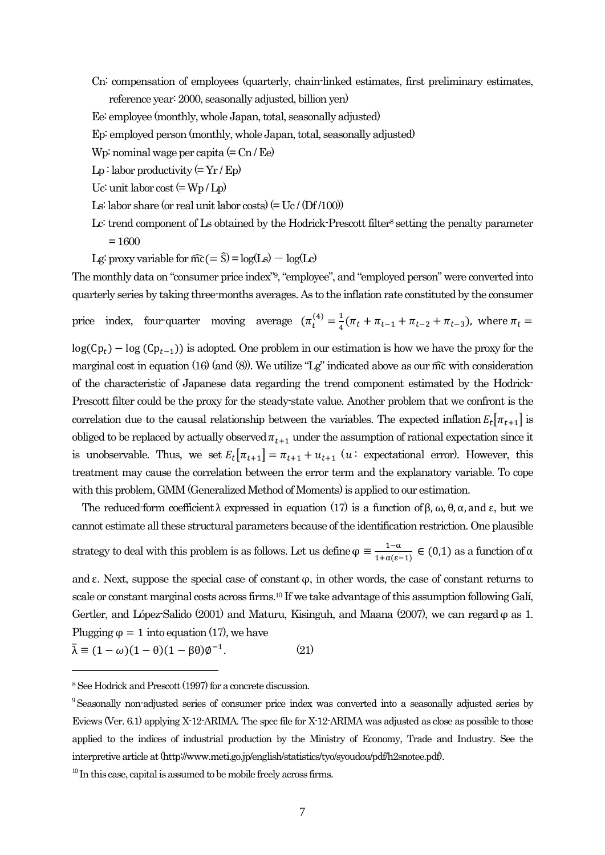Cn: compensation of employees (quarterly, chain-linked estimates, first preliminary estimates, reference year: 2000, seasonally adjusted, billion yen)

Ee: employee (monthly, whole Japan, total, seasonally adjusted)

Ep: employed person(monthly, whole Japan, total, seasonally adjusted)

Wp: nominal wage per capita  $(=$  Cn  $/$  Ee)

 $Lp:$  labor productivity (=  $Yr / Ep$ )

Uc: unit labor  $\cos t (= W_p / L_p)$ 

- Ls: labor share (or real unit labor costs) (=  $Uc / (Df/100)$ )
- Lc: trend component of Ls obtained by the Hodrick-Prescott filter<sup>8</sup> setting the penalty parameter  $= 1600$
- Lg: proxy variable for  $\widehat{mc} (= \widehat{S}) = log(Ls) log(Lc)$

The monthly data on "consumer price index"<sup>9</sup>, "employee", and "employed person" were converted into quarterly series by taking three-months averages. As to the inflation rate constituted by the consumer

price index, four-quarter moving average  $(\pi_t^{(4)}) = \frac{1}{t}$  $rac{1}{4}$  (

 $log(Cp_t) - log(Cp_{t-1})$  is adopted. One problem in our estimation is how we have the proxy for the marginal cost in equation (16) (and (8)). We utilize " $Lg$ " indicated above as our mc with consideration of the characteristic of Japanese data regarding the trend component estimated by the Hodrick-Prescott filter could be the proxy for the steady-state value. Another problem that we confront is the correlation due to the causal relationship between the variables. The expected inflation  $E_t[\pi_{t+1}]$  is obliged to be replaced by actually observed  $\pi_{t+1}$  under the assumption of rational expectation since it is unobservable. Thus, we set  $E_t[\pi_{t+1}] = \pi_{t+1} + u_{t+1}$  (*u*: expectational error). However, this treatment may cause the correlation between the error term and the explanatory variable. To cope with this problem, GMM (Generalized Method of Moments) is applied to our estimation.

The reduced-form coefficient  $\lambda$  expressed in equation (17) is a function of  $\beta$ ,  $\omega$ ,  $\theta$ ,  $\alpha$ , and  $\varepsilon$ , but we cannot estimate all these structural parameters because of the identification restriction. One plausible strategy to deal with this problem is as follows. Let us define  $\varphi = \frac{1}{1+\varphi}$  $\frac{1-\alpha}{1+\alpha(\epsilon-1)} \in (0,1)$  as a function of

and  $\varepsilon$ . Next, suppose the special case of constant  $\varphi$ , in other words, the case of constant returns to scale or constant marginal costs across firms.<sup>10</sup> If we take advantage of this assumption following Galí, Gertler, and López-Salido (2001) and Maturu, Kisinguh, and Maana (2007), we can regard  $\varphi$  as 1. Plugging  $\varphi = 1$  into equation (17), we have

$$
\bar{\lambda} \equiv (1 - \omega)(1 - \theta)(1 - \beta \theta)\phi^{-1}.
$$
 (21)

<sup>8</sup>See Hodrick and Prescott (1997) for a concrete discussion.

<sup>9</sup>Seasonally non-adjusted series of consumer price index was converted into a seasonally adjusted series by Eviews (Ver. 6.1) applying X-12-ARIMA. The spec file for X-12-ARIMA was adjusted as close as possible to those applied to the indices of industrial production by the Ministry of Economy, Trade and Industry. See the interpretive article at (http://www.meti.go.jp/english/statistics/tyo/syoudou/pdf/h2snotee.pdf).

 $10$  In this case, capital is assumed to be mobile freely across firms.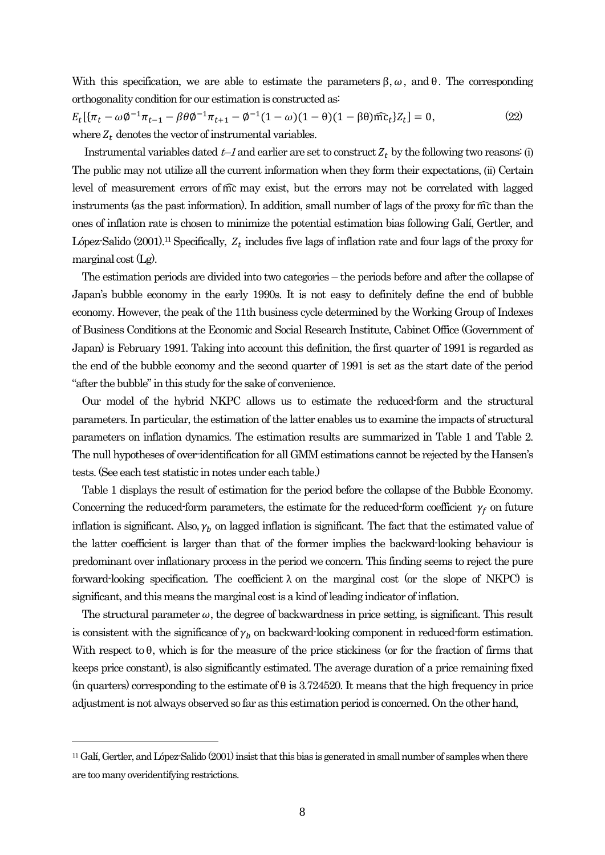With this specification, we are able to estimate the parameters  $\beta$ ,  $\omega$ , and  $\theta$ . The corresponding orthogonality condition for our estimation is constructed as:

$$
E_t[\{\pi_t - \omega \phi^{-1} \pi_{t-1} - \beta \theta \phi^{-1} \pi_{t+1} - \phi^{-1} (1 - \omega)(1 - \theta)(1 - \beta \theta) \widehat{mc}_t\} Z_t] = 0,
$$
\nwhere  $Z_t$  denotes the vector of instrumental variables. (22)

Instrumental variables dated  $t-1$  and earlier are set to construct  $Z_t$  by the following two reasons: (i) The public may not utilize all the current information when they form their expectations, (іі) Certain level of measurement errors of  $\widehat{m}c$  may exist, but the errors may not be correlated with lagged instruments (as the past information). In addition, small number of lags of the proxy for than the ones of inflation rate is chosen to minimize the potential estimation bias following Galí, Gertler, and López-Salido (2001).<sup>11</sup> Specifically,  $Z_t$  includes five lags of inflation rate and four lags of the proxy for marginal cost  $(Lg)$ .

 The estimation periods are divided into two categories – the periods before and after the collapse of Japan's bubble economy in the early 1990s. It is not easy to definitely define the end of bubble economy. However, the peak of the 11th business cycle determined by the Working Group of Indexes of Business Conditions at the Economic and Social Research Institute, Cabinet Office (Government of Japan) is February 1991. Taking into account this definition, the first quarter of 1991 is regarded as the end of the bubble economy and the second quarter of 1991 is set as the start date of the period "after the bubble"in this study for the sake of convenience.

 Our model of the hybrid NKPC allows us to estimate the reduced-form and the structural parameters. In particular, the estimation of the latter enables us to examine the impacts of structural parameters on inflation dynamics. The estimation results are summarized in Table 1 and Table 2. The null hypotheses of over-identification for all GMM estimations cannot be rejected by the Hansen's tests.(See each test statistic in notes under each table.)

 Table 1 displays the result of estimation for the period before the collapse of the Bubble Economy. Concerning the reduced-form parameters, the estimate for the reduced-form coefficient  $\gamma_f$  on future inflation is significant. Also,  $\gamma_b$  on lagged inflation is significant. The fact that the estimated value of the latter coefficient is larger than that of the former implies the backward-looking behaviour is predominant over inflationary process in the period we concern. This finding seems to reject the pure forward-looking specification. The coefficient  $\lambda$  on the marginal cost (or the slope of NKPC) is significant, and this means the marginal cost is a kind of leading indicator of inflation.

The structural parameter  $\omega$ , the degree of backwardness in price setting, is significant. This result is consistent with the significance of  $\gamma_b$  on backward-looking component in reduced-form estimation. With respect to  $\theta$ , which is for the measure of the price stickiness (or for the fraction of firms that keeps price constant), is also significantly estimated. The average duration of a price remaining fixed (in quarters) corresponding to the estimate of  $\theta$  is 3.724520. It means that the high frequency in price adjustment is not always observed so far as this estimation period is concerned. On the other hand,

<sup>11</sup> Galí, Gertler, and López-Salido (2001) insistthat this bias is generated in small number of samples when there are too many overidentifying restrictions.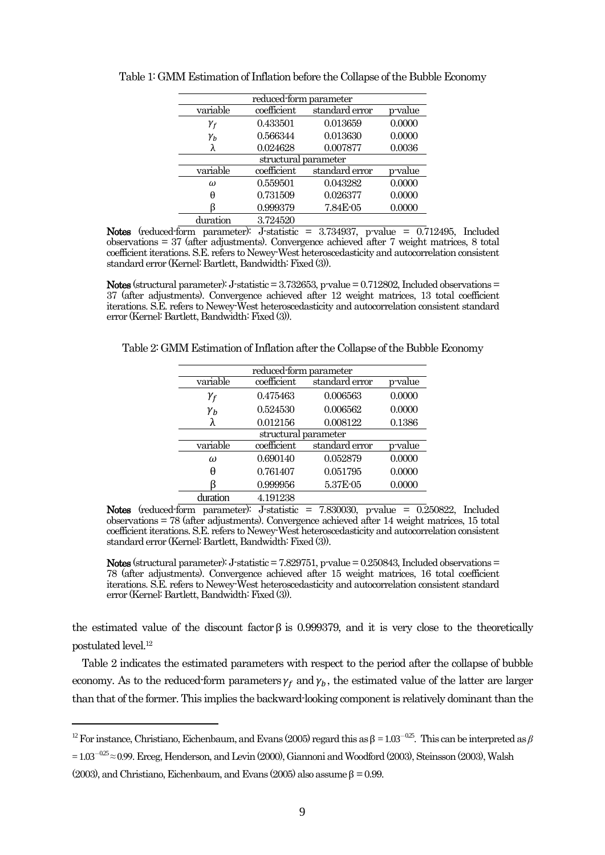| reduced-form parameter |             |                |         |  |
|------------------------|-------------|----------------|---------|--|
| variable               | coefficient | standard error | p-value |  |
| $\gamma_f$             | 0.433501    | 0.013659       | 0.0000  |  |
| $\gamma_{b}$           | 0.566344    | 0.013630       | 0.0000  |  |
|                        | 0.024628    | 0.007877       | 0.0036  |  |
| structural parameter   |             |                |         |  |
| variable               | coefficient | standard error | p-value |  |
| $\omega$               | 0.559501    | 0.043282       | 0.0000  |  |
| θ                      | 0.731509    | 0.026377       | 0.0000  |  |
|                        | 0.999379    | 7.84E-05       | 0.0000  |  |
| duration               | 3.724520    |                |         |  |

Table 1: GMM Estimation of Inflation before the Collapse of the Bubble Economy

Notes (reduced-form parameter): J-statistic =  $3.734937$ , p-value =  $0.712495$ , Included observations = 37 (after adjustments). Convergence achieved after 7 weight matrices, 8 total coefficient iterations. S.E. refers to Newey-West heteroscedasticity and autocorrelation consistent standard error (Kernel: Bartlett, Bandwidth: Fixed (3)).

Notes (structural parameter): J-statistic  $= 3.732653$ , p-value  $= 0.712802$ , Included observations  $=$ 37 (after adjustments). Convergence achieved after 12 weight matrices, 13 total coefficient iterations. S.E. refers to Newey-West heteroscedasticity and autocorrelation consistent standard error (Kernel: Bartlett, Bandwidth: Fixed (3)).

Table 2: GMM Estimation of Inflation after the Collapse of the Bubble Economy

| reduced-form parameter |             |                |         |  |
|------------------------|-------------|----------------|---------|--|
| variable               | coefficient | standard error | p-value |  |
| $\gamma_f$             | 0.475463    | 0.006563       | 0.0000  |  |
| $\gamma_h$             | 0.524530    | 0.006562       | 0.0000  |  |
|                        | 0.012156    | 0.008122       | 0.1386  |  |
| structural parameter   |             |                |         |  |
| variable               | coefficient | standard error | p-value |  |
| $\omega$               | 0.690140    | 0.052879       | 0.0000  |  |
| H                      | 0.761407    | 0.051795       | 0.0000  |  |
|                        | 0.999956    | 5.37E-05       | 0.0000  |  |
| duration               | 4.191238    |                |         |  |

Notes (reduced-form parameter): J-statistic  $= 7.830030$ , p-value  $= 0.250822$ , Included observations = 78 (after adjustments). Convergence achieved after 14 weight matrices, 15 total coefficient iterations. S.E. refers to Newey-West heteroscedasticity and autocorrelation consistent standard error (Kernel: Bartlett, Bandwidth: Fixed (3)).

Notes (structural parameter): J-statistic  $= 7.829751$ , p-value  $= 0.250843$ , Included observations  $=$ 78 (after adjustments). Convergence achieved after 15 weight matrices, 16 total coefficient iterations. S.E. refers to Newey-West heteroscedasticity and autocorrelation consistent standard error (Kernel: Bartlett, Bandwidth: Fixed (3)).

the estimated value of the discount factor  $\beta$  is 0.999379, and it is very close to the theoretically postulated level.<sup>12</sup>

 Table 2 indicates the estimated parameters with respect to the period after the collapse of bubble economy. As to the reduced-form parameters  $\gamma_f$  and  $\gamma_b$ , the estimated value of the latter are larger than that of the former. This implies the backward-looking component is relatively dominant than the

(2003), and Christiano, Eichenbaum, and Evans (2005) also assume  $\beta = 0.99$ .

<sup>&</sup>lt;sup>12</sup> For instance, Christiano, Eichenbaum, and Evans (2005) regard this as  $\beta = 1.03^{-0.25}$ . This can be interpreted as  $\beta$ 

 $= 1.03^{-0.25} \approx 0.99$ . Erceg, Henderson, and Levin (2000), Giannoni and Woodford (2003), Steinsson (2003), Walsh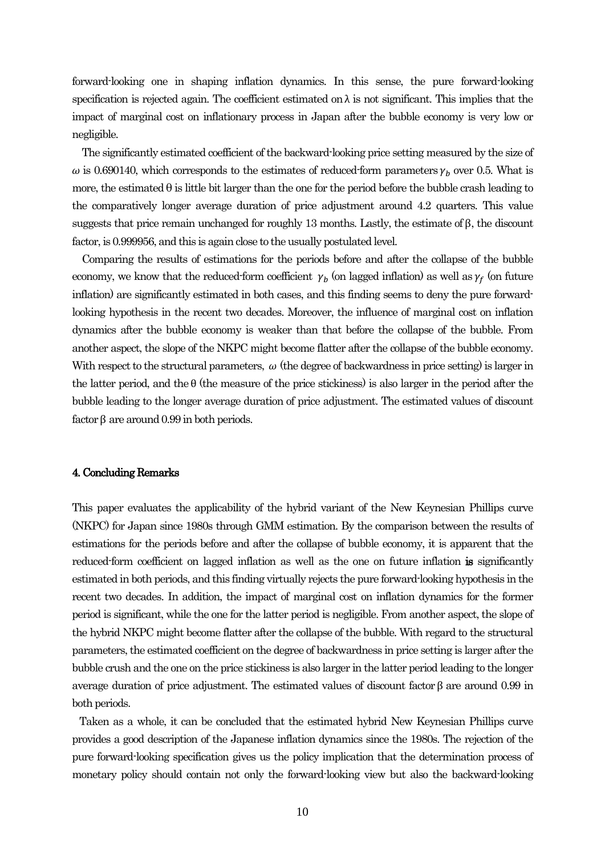forward-looking one in shaping inflation dynamics. In this sense, the pure forward-looking specification is rejected again. The coefficient estimated on  $\lambda$  is not significant. This implies that the impact of marginal cost on inflationary process in Japan after the bubble economy is very low or negligible.

 The significantly estimated coefficient of the backward-looking price setting measured by the size of  $\omega$  is 0.690140, which corresponds to the estimates of reduced-form parameters  $\gamma_b$  over 0.5. What is more, the estimated  $\theta$  is little bit larger than the one for the period before the bubble crash leading to the comparatively longer average duration of price adjustment around 4.2 quarters. This value suggests that price remain unchanged for roughly 13 months. Lastly, the estimate of  $\beta$ , the discount factor, is 0.999956, and this is again close to the usually postulated level.

 Comparing the results of estimations for the periods before and after the collapse of the bubble economy, we know that the reduced-form coefficient  $\gamma_b$  (on lagged inflation) as well as  $\gamma_f$  (on future inflation) are significantly estimated in both cases, and this finding seems to deny the pure forwardlooking hypothesis in the recent two decades. Moreover, the influence of marginal cost on inflation dynamics after the bubble economy is weaker than that before the collapse of the bubble. From another aspect, the slope of the NKPC might become flatter after the collapse of the bubble economy. With respect to the structural parameters,  $\omega$  (the degree of backwardness in price setting) is larger in the latter period, and the  $\theta$  (the measure of the price stickiness) is also larger in the period after the bubble leading to the longer average duration of price adjustment. The estimated values of discount factor  $\beta$  are around 0.99 in both periods.

## 4. Concluding Remarks

This paper evaluates the applicability of the hybrid variant of the New Keynesian Phillips curve (NKPC) for Japan since 1980s through GMM estimation. By the comparison between the results of estimations for the periods before and after the collapse of bubble economy, it is apparent that the reduced-form coefficient on lagged inflation as well as the one on future inflation is significantly estimated in both periods, and this finding virtually rejects the pure forward-looking hypothesis in the recent two decades. In addition, the impact of marginal cost on inflation dynamics for the former period is significant, while the one for the latter period is negligible. From another aspect, the slope of the hybrid NKPC might become flatter after the collapse of the bubble. With regard to the structural parameters, the estimated coefficient on the degree of backwardness in price setting is larger after the bubble crush and the one on the price stickiness is also larger in the latter period leading to the longer average duration of price adjustment. The estimated values of discount factor  $\beta$  are around 0.99 in both periods.

 Taken as a whole, it can be concluded that the estimated hybrid New Keynesian Phillips curve provides a good description of the Japanese inflation dynamics since the 1980s. The rejection of the pure forward-looking specification gives us the policy implication that the determination process of monetary policy should contain not only the forward-looking view but also the backward-looking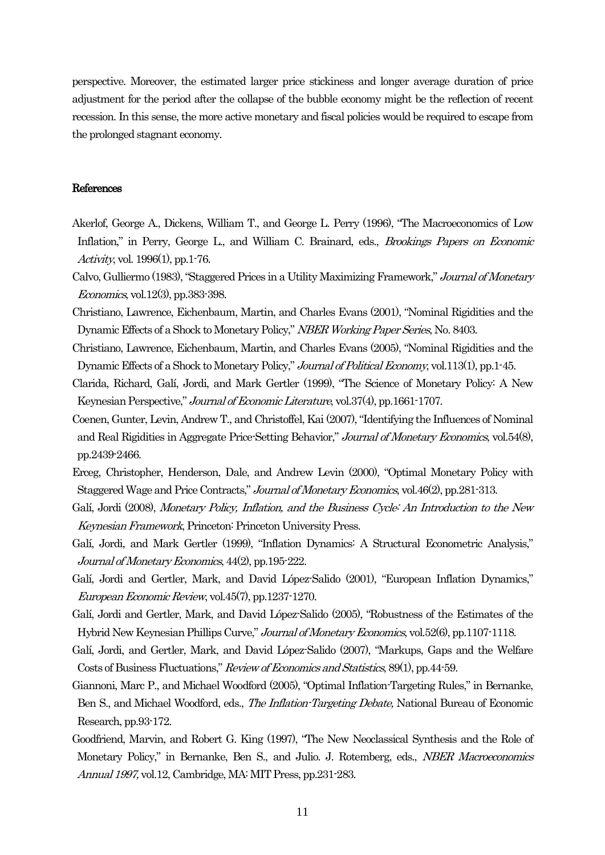perspective. Moreover, the estimated larger price stickiness and longer average duration of price adjustment for the period after the collapse of the bubble economy might be the reflection of recent recession. In this sense, the more active monetary and fiscal policies would be required to escape from the prolonged stagnant economy.

## References

- Akerlof, George A., Dickens, William T., and George L. Perry (1996), "The Macroeconomics of Low Inflation," in Perry, George L., and William C. Brainard, eds., Brookings Papers on Economic Activity, vol. 1996(1), pp.1-76.
- Calvo, Gulliermo (1983), "Staggered Prices in a Utility Maximizing Framework," Journal of Monetary Economics, vol.12(3), pp.383-398.
- Christiano, Lawrence, Eichenbaum, Martin, and Charles Evans (2001), "Nominal Rigidities and the Dynamic Effects of a Shock to Monetary Policy," NBER Working Paper Series, No. 8403.
- Christiano, Lawrence, Eichenbaum, Martin, and Charles Evans (2005), "Nominal Rigidities and the Dynamic Effects of a Shock to Monetary Policy," Journal of Political Economy, vol.113(1), pp.1-45.
- Clarida, Richard, Galí, Jordi, and Mark Gertler (1999), "The Science of Monetary Policy: A New Keynesian Perspective," Journal of Economic Literature, vol.37(4), pp.1661-1707.
- Coenen, Gunter, Levin, Andrew T., and Christoffel, Kai (2007), "Identifying the Influences of Nominal and Real Rigidities in Aggregate Price-Setting Behavior," Journal of Monetary Economics, vol.54(8), pp.2439-2466.
- Erceg, Christopher, Henderson, Dale, and Andrew Levin (2000), "Optimal Monetary Policy with Staggered Wage and Price Contracts," Journal of Monetary Economics, vol.46(2), pp.281-313.
- Galí, Jordi (2008), Monetary Policy, Inflation, and the Business Cycle: An Introduction to the New Keynesian Framework, Princeton: Princeton University Press.
- Galí, Jordi, and Mark Gertler (1999), "Inflation Dynamics: A Structural Econometric Analysis," Journal of Monetary Economics, 44(2), pp.195-222.
- Galí, Jordi and Gertler, Mark, and David López-Salido (2001), "European Inflation Dynamics," European Economic Review, vol.45(7), pp.1237-1270.
- Galí, Jordi and Gertler, Mark, and David López-Salido (2005), "Robustness of the Estimates of the Hybrid New Keynesian Phillips Curve," Journal of Monetary Economics, vol.52(6), pp.1107-1118.
- Galí, Jordi, and Gertler, Mark, and David López-Salido (2007), "Markups, Gaps and the Welfare Costs of Business Fluctuations," Review of Economics and Statistics, 89(1), pp.44-59.
- Giannoni, Marc P., and Michael Woodford (2005), "Optimal Inflation-Targeting Rules," in Bernanke, Ben S., and Michael Woodford, eds., The Inflation-Targeting Debate, National Bureau of Economic Research, pp.93-172.
- Goodfriend, Marvin, and Robert G. King (1997), "The New Neoclassical Synthesis and the Role of Monetary Policy," in Bernanke, Ben S., and Julio. J. Rotemberg, eds., NBER Macroeconomics Annual 1997, vol.12, Cambridge, MA: MIT Press, pp.231-283.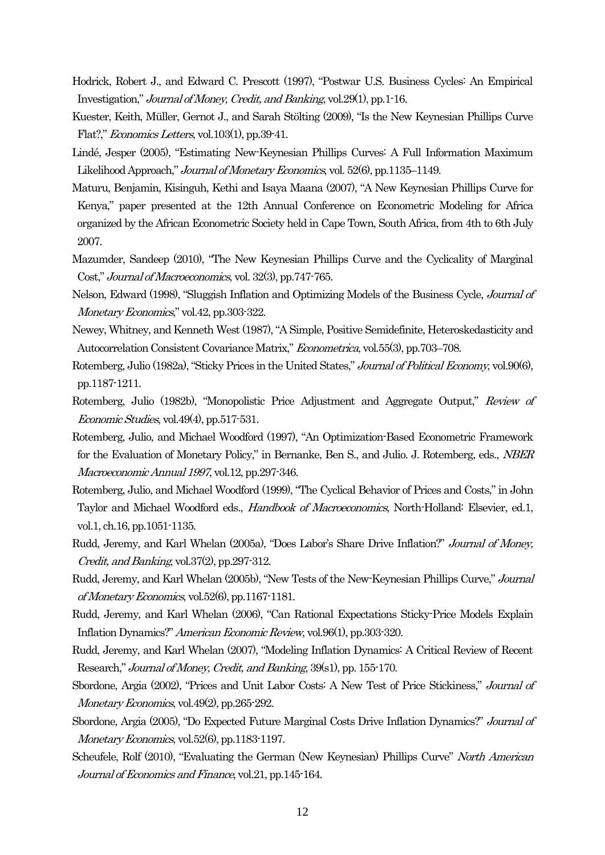- Hodrick, Robert J., and Edward C. Prescott (1997), "Postwar U.S. Business Cycles: An Empirical Investigation," Journal of Money, Credit, and Banking, vol.29(1), pp.1-16.
- Kuester, Keith, Müller, Gernot J., and Sarah Stölting (2009), "Is the New Keynesian Phillips Curve Flat?," Economics Letters, vol.103(1), pp.39-41.
- Lindé, Jesper (2005), "Estimating New-Keynesian Phillips Curves: A Full Information Maximum Likelihood Approach," Journal of Monetary Economics, vol. 52(6), pp.1135–1149.
- Maturu, Benjamin, Kisinguh, Kethi and Isaya Maana (2007), "A New Keynesian Phillips Curve for Kenya," paper presented at the 12th Annual Conference on Econometric Modeling for Africa organized by the African Econometric Society held in Cape Town, South Africa, from 4th to 6th July 2007.
- Mazumder, Sandeep (2010), "The New Keynesian Phillips Curve and the Cyclicality of Marginal Cost," Journal of Macroeconomics, vol. 32(3), pp.747-765.
- Nelson, Edward (1998), "Sluggish Inflation and Optimizing Models of the Business Cycle, Journal of Monetary Economics," vol.42, pp.303-322.
- Newey, Whitney, and Kenneth West (1987), "A Simple, Positive Semidefinite, Heteroskedasticity and Autocorrelation Consistent Covariance Matrix," Econometrica, vol.55(3), pp.703–708.
- Rotemberg, Julio (1982a), "Sticky Prices in the United States," *Journal of Political Economy*, vol.90(6), pp.1187-1211.
- Rotemberg, Julio (1982b), "Monopolistic Price Adjustment and Aggregate Output," Review of Economic Studies, vol.49(4), pp.517-531.
- Rotemberg, Julio, and Michael Woodford (1997), "An Optimization-Based Econometric Framework for the Evaluation of Monetary Policy," in Bernanke, Ben S., and Julio. J. Rotemberg, eds., *NBER* Macroeconomic Annual 1997, vol.12, pp.297-346.
- Rotemberg, Julio, and Michael Woodford (1999), "The Cyclical Behavior of Prices and Costs," in John Taylor and Michael Woodford eds., Handbook of Macroeconomics, North-Holland: Elsevier, ed.1, vol.1, ch.16, pp.1051-1135.
- Rudd, Jeremy, and Karl Whelan (2005a), "Does Labor's Share Drive Inflation?" Journal of Money, Credit, and Banking, vol.37(2), pp.297-312.
- Rudd, Jeremy, and Karl Whelan (2005b), "New Tests of the New-Keynesian Phillips Curve," Journal of Monetary Economics, vol.52(6), pp.1167-1181.
- Rudd, Jeremy, and Karl Whelan (2006), "Can Rational Expectations Sticky-Price Models Explain Inflation Dynamics?" American Economic Review, vol.96(1), pp.303-320.
- Rudd, Jeremy, and Karl Whelan (2007), "Modeling Inflation Dynamics: A Critical Review of Recent Research," Journal of Money, Credit, and Banking, 39(s1), pp. 155-170.
- Sbordone, Argia (2002), "Prices and Unit Labor Costs: A New Test of Price Stickiness," Journal of Monetary Economics, vol. 49(2), pp. 265-292.
- Sbordone, Argia (2005), "Do Expected Future Marginal Costs Drive Inflation Dynamics?" Journal of Monetary Economics, vol. 52(6), pp. 1183-1197.
- Scheufele, Rolf (2010), "Evaluating the German (New Keynesian) Phillips Curve" North American Journal of Economics and Finance, vol.21, pp.145-164.